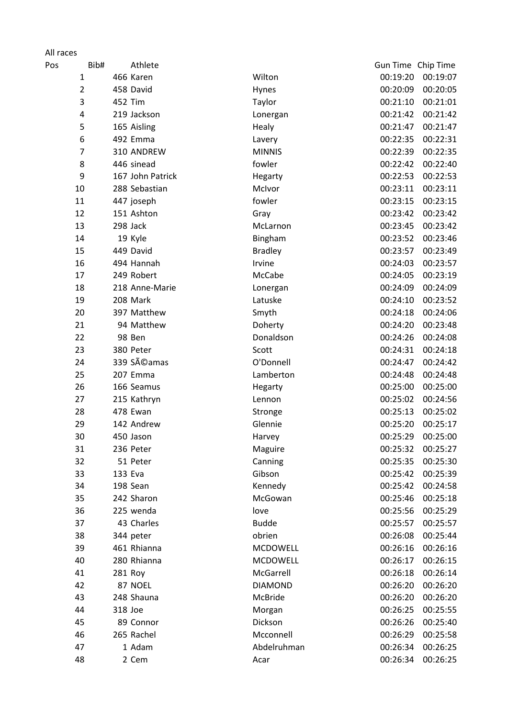## All races

| Pos | Bib#           |         | Athlete                  |                      |                      | Gun Time Chip Time   |
|-----|----------------|---------|--------------------------|----------------------|----------------------|----------------------|
|     | 1              |         | 466 Karen                | Wilton               | 00:19:20             | 00:19:07             |
|     | $\overline{2}$ |         | 458 David                | Hynes                | 00:20:09             | 00:20:05             |
|     | 3              |         | 452 Tim                  | Taylor               | 00:21:10             | 00:21:01             |
|     | 4              |         | 219 Jackson              | Lonergan             | 00:21:42             | 00:21:42             |
|     | 5              |         | 165 Aisling              | Healy                | 00:21:47             | 00:21:47             |
|     | 6              |         | 492 Emma                 | Lavery               | 00:22:35             | 00:22:31             |
|     | $\overline{7}$ |         | 310 ANDREW               | <b>MINNIS</b>        | 00:22:39             | 00:22:35             |
|     | 8              |         | 446 sinead               | fowler               | 00:22:42             | 00:22:40             |
|     | 9              |         | 167 John Patrick         | Hegarty              | 00:22:53             | 00:22:53             |
|     | 10             |         | 288 Sebastian            | McIvor               | 00:23:11             | 00:23:11             |
|     | 11             |         | 447 joseph               | fowler               | 00:23:15             | 00:23:15             |
|     | 12             |         | 151 Ashton               | Gray                 | 00:23:42             | 00:23:42             |
|     | 13             |         | 298 Jack                 | McLarnon             | 00:23:45             | 00:23:42             |
|     | 14             |         | 19 Kyle                  | Bingham              | 00:23:52             | 00:23:46             |
|     | 15             |         | 449 David                | <b>Bradley</b>       | 00:23:57             | 00:23:49             |
|     | 16             |         | 494 Hannah               | Irvine               | 00:24:03             | 00:23:57             |
|     | 17             |         | 249 Robert               | McCabe               | 00:24:05             | 00:23:19             |
|     | 18             |         | 218 Anne-Marie           | Lonergan             | 00:24:09             | 00:24:09             |
|     | 19             |         | 208 Mark                 | Latuske              | 00:24:10             | 00:23:52             |
|     | 20             |         | 397 Matthew              | Smyth                | 00:24:18             | 00:24:06             |
|     | 21             |         | 94 Matthew               | Doherty              | 00:24:20             | 00:23:48             |
|     | 22             |         | 98 Ben                   | Donaldson            | 00:24:26             | 00:24:08             |
|     | 23             |         | 380 Peter                | Scott                | 00:24:31             | 00:24:18             |
|     | 24             |         | 339 Séamas               | O'Donnell            | 00:24:47             | 00:24:42             |
|     | 25             |         | 207 Emma                 | Lamberton            | 00:24:48             | 00:24:48             |
|     | 26             |         | 166 Seamus               | Hegarty              | 00:25:00             | 00:25:00             |
|     | 27             |         | 215 Kathryn              | Lennon               | 00:25:02             | 00:24:56             |
|     | 28             |         | 478 Ewan                 | Stronge              | 00:25:13             | 00:25:02             |
|     | 29             |         | 142 Andrew               | Glennie              | 00:25:20             | 00:25:17             |
|     | 30             |         | 450 Jason                | Harvey               | 00:25:29             | 00:25:00             |
|     | 31             |         | 236 Peter                | Maguire              | 00:25:32             | 00:25:27             |
|     | 32             |         | 51 Peter                 | Canning              | 00:25:35             | 00:25:30             |
|     | 33             | 133 Eva |                          | Gibson               | 00:25:42             | 00:25:39             |
|     | 34             |         | 198 Sean                 | Kennedy              | 00:25:42             | 00:24:58<br>00:25:18 |
|     | 35             |         | 242 Sharon               | McGowan              | 00:25:46             |                      |
|     | 36             |         | 225 wenda                | love<br><b>Budde</b> | 00:25:56             | 00:25:29             |
|     | 37             |         | 43 Charles               | obrien               | 00:25:57             | 00:25:57             |
|     | 38             |         | 344 peter<br>461 Rhianna | MCDOWELL             | 00:26:08             | 00:25:44             |
|     | 39<br>40       |         | 280 Rhianna              | <b>MCDOWELL</b>      | 00:26:16<br>00:26:17 | 00:26:16<br>00:26:15 |
|     | 41             |         |                          | McGarrell            | 00:26:18             | 00:26:14             |
|     | 42             |         | 281 Roy<br>87 NOEL       | <b>DIAMOND</b>       | 00:26:20             | 00:26:20             |
|     | 43             |         | 248 Shauna               | McBride              | 00:26:20             | 00:26:20             |
|     | 44             | 318 Joe |                          | Morgan               | 00:26:25             | 00:25:55             |
|     | 45             |         | 89 Connor                | Dickson              | 00:26:26             | 00:25:40             |
|     | 46             |         | 265 Rachel               | Mcconnell            | 00:26:29             | 00:25:58             |
|     | 47             |         | 1 Adam                   | Abdelruhman          | 00:26:34             | 00:26:25             |
|     | 48             |         | 2 Cem                    | Acar                 | 00:26:34             | 00:26:25             |
|     |                |         |                          |                      |                      |                      |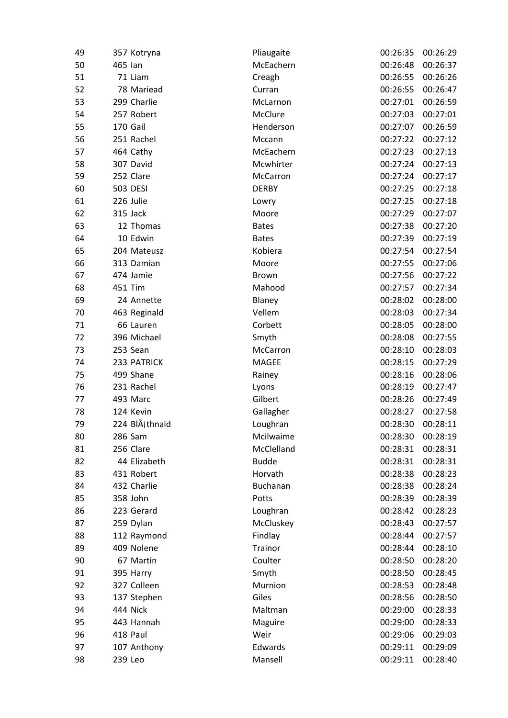| 49 |         | 357 Kotryna     | Pliaugaite   | 00:26:35 | 00:26:29 |
|----|---------|-----------------|--------------|----------|----------|
| 50 | 465 Ian |                 | McEachern    | 00:26:48 | 00:26:37 |
| 51 |         | 71 Liam         | Creagh       | 00:26:55 | 00:26:26 |
| 52 |         | 78 Mariead      | Curran       | 00:26:55 | 00:26:47 |
| 53 |         | 299 Charlie     | McLarnon     | 00:27:01 | 00:26:59 |
| 54 |         | 257 Robert      | McClure      | 00:27:03 | 00:27:01 |
| 55 |         | 170 Gail        | Henderson    | 00:27:07 | 00:26:59 |
| 56 |         | 251 Rachel      | Mccann       | 00:27:22 | 00:27:12 |
| 57 |         | 464 Cathy       | McEachern    | 00:27:23 | 00:27:13 |
| 58 |         | 307 David       | Mcwhirter    | 00:27:24 | 00:27:13 |
| 59 |         | 252 Clare       | McCarron     | 00:27:24 | 00:27:17 |
| 60 |         | <b>503 DESI</b> | <b>DERBY</b> | 00:27:25 | 00:27:18 |
| 61 |         | 226 Julie       | Lowry        | 00:27:25 | 00:27:18 |
| 62 |         | 315 Jack        | Moore        | 00:27:29 | 00:27:07 |
| 63 |         | 12 Thomas       | <b>Bates</b> | 00:27:38 | 00:27:20 |
| 64 |         | 10 Edwin        | <b>Bates</b> | 00:27:39 | 00:27:19 |
| 65 |         | 204 Mateusz     | Kobiera      | 00:27:54 | 00:27:54 |
| 66 |         | 313 Damian      | Moore        | 00:27:55 | 00:27:06 |
| 67 |         | 474 Jamie       | Brown        | 00:27:56 | 00:27:22 |
| 68 |         | 451 Tim         | Mahood       | 00:27:57 | 00:27:34 |
| 69 |         | 24 Annette      | Blaney       | 00:28:02 | 00:28:00 |
| 70 |         | 463 Reginald    | Vellem       | 00:28:03 | 00:27:34 |
| 71 |         | 66 Lauren       | Corbett      | 00:28:05 | 00:28:00 |
| 72 |         | 396 Michael     | Smyth        | 00:28:08 | 00:27:55 |
| 73 |         | 253 Sean        | McCarron     | 00:28:10 | 00:28:03 |
| 74 |         | 233 PATRICK     | MAGEE        | 00:28:15 | 00:27:29 |
| 75 |         | 499 Shane       | Rainey       | 00:28:16 | 00:28:06 |
| 76 |         | 231 Rachel      | Lyons        | 00:28:19 | 00:27:47 |
| 77 |         | 493 Marc        | Gilbert      | 00:28:26 | 00:27:49 |
| 78 |         | 124 Kevin       | Gallagher    | 00:28:27 | 00:27:58 |
| 79 |         | 224 BlÄjthnaid  | Loughran     | 00:28:30 | 00:28:11 |
| 80 |         | 286 Sam         | Mcilwaime    | 00:28:30 | 00:28:19 |
| 81 |         | 256 Clare       | McClelland   | 00:28:31 | 00:28:31 |
| 82 |         | 44 Elizabeth    | <b>Budde</b> | 00:28:31 | 00:28:31 |
| 83 |         | 431 Robert      | Horvath      | 00:28:38 | 00:28:23 |
| 84 |         | 432 Charlie     | Buchanan     | 00:28:38 | 00:28:24 |
| 85 |         | 358 John        | Potts        | 00:28:39 | 00:28:39 |
| 86 |         | 223 Gerard      | Loughran     | 00:28:42 | 00:28:23 |
| 87 |         | 259 Dylan       | McCluskey    | 00:28:43 | 00:27:57 |
| 88 |         | 112 Raymond     | Findlay      | 00:28:44 | 00:27:57 |
| 89 |         | 409 Nolene      | Trainor      | 00:28:44 | 00:28:10 |
| 90 |         | 67 Martin       | Coulter      | 00:28:50 | 00:28:20 |
| 91 |         | 395 Harry       | Smyth        | 00:28:50 | 00:28:45 |
| 92 |         | 327 Colleen     | Murnion      | 00:28:53 | 00:28:48 |
| 93 |         | 137 Stephen     | Giles        | 00:28:56 | 00:28:50 |
| 94 |         | 444 Nick        | Maltman      | 00:29:00 | 00:28:33 |
| 95 |         | 443 Hannah      | Maguire      | 00:29:00 | 00:28:33 |
| 96 |         | 418 Paul        | Weir         | 00:29:06 | 00:29:03 |
| 97 |         | 107 Anthony     | Edwards      | 00:29:11 | 00:29:09 |
| 98 |         | 239 Leo         | Mansell      | 00:29:11 | 00:28:40 |
|    |         |                 |              |          |          |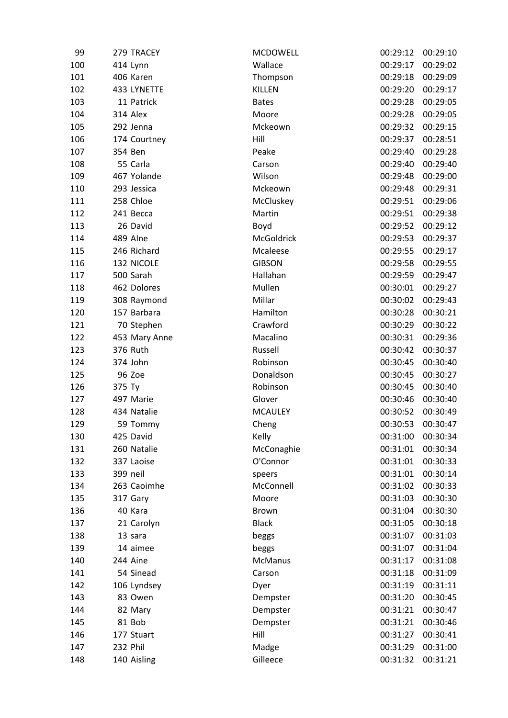| 99  | 279 TRACEY    | <b>MCDOWELL</b> | 00:29:12 | 00:29:10 |
|-----|---------------|-----------------|----------|----------|
| 100 | 414 Lynn      | Wallace         | 00:29:17 | 00:29:02 |
| 101 | 406 Karen     | Thompson        | 00:29:18 | 00:29:09 |
| 102 | 433 LYNETTE   | KILLEN          | 00:29:20 | 00:29:17 |
| 103 | 11 Patrick    | <b>Bates</b>    | 00:29:28 | 00:29:05 |
| 104 | 314 Alex      | Moore           | 00:29:28 | 00:29:05 |
| 105 | 292 Jenna     | Mckeown         | 00:29:32 | 00:29:15 |
| 106 | 174 Courtney  | Hill            | 00:29:37 | 00:28:51 |
| 107 | 354 Ben       | Peake           | 00:29:40 | 00:29:28 |
| 108 | 55 Carla      | Carson          | 00:29:40 | 00:29:40 |
| 109 | 467 Yolande   | Wilson          | 00:29:48 | 00:29:00 |
| 110 | 293 Jessica   | Mckeown         | 00:29:48 | 00:29:31 |
| 111 | 258 Chloe     | McCluskey       | 00:29:51 | 00:29:06 |
| 112 | 241 Becca     | Martin          | 00:29:51 | 00:29:38 |
| 113 | 26 David      | Boyd            | 00:29:52 | 00:29:12 |
| 114 | 489 Alne      | McGoldrick      | 00:29:53 | 00:29:37 |
| 115 | 246 Richard   | Mcaleese        | 00:29:55 | 00:29:17 |
| 116 | 132 NICOLE    | <b>GIBSON</b>   | 00:29:58 | 00:29:55 |
| 117 | 500 Sarah     | Hallahan        | 00:29:59 | 00:29:47 |
| 118 | 462 Dolores   | Mullen          | 00:30:01 | 00:29:27 |
| 119 | 308 Raymond   | Millar          | 00:30:02 | 00:29:43 |
| 120 | 157 Barbara   | Hamilton        | 00:30:28 | 00:30:21 |
| 121 | 70 Stephen    | Crawford        | 00:30:29 | 00:30:22 |
| 122 | 453 Mary Anne | Macalino        | 00:30:31 | 00:29:36 |
| 123 | 376 Ruth      | Russell         | 00:30:42 | 00:30:37 |
| 124 | 374 John      | Robinson        | 00:30:45 | 00:30:40 |
| 125 | 96 Zoe        | Donaldson       | 00:30:45 | 00:30:27 |
| 126 | 375 Ty        | Robinson        | 00:30:45 | 00:30:40 |
| 127 | 497 Marie     | Glover          | 00:30:46 | 00:30:40 |
| 128 | 434 Natalie   | <b>MCAULEY</b>  | 00:30:52 | 00:30:49 |
| 129 | 59 Tommy      | Cheng           | 00:30:53 | 00:30:47 |
| 130 | 425 David     | Kelly           | 00:31:00 | 00:30:34 |
| 131 | 260 Natalie   | McConaghie      | 00:31:01 | 00:30:34 |
| 132 | 337 Laoise    | O'Connor        | 00:31:01 | 00:30:33 |
| 133 | 399 neil      | speers          | 00:31:01 | 00:30:14 |
| 134 | 263 Caoimhe   | McConnell       | 00:31:02 | 00:30:33 |
| 135 | 317 Gary      | Moore           | 00:31:03 | 00:30:30 |
| 136 | 40 Kara       | Brown           | 00:31:04 | 00:30:30 |
| 137 | 21 Carolyn    | <b>Black</b>    | 00:31:05 | 00:30:18 |
| 138 | 13 sara       | beggs           | 00:31:07 | 00:31:03 |
| 139 | 14 aimee      | beggs           | 00:31:07 | 00:31:04 |
| 140 | 244 Aine      | <b>McManus</b>  | 00:31:17 | 00:31:08 |
| 141 | 54 Sinead     | Carson          | 00:31:18 | 00:31:09 |
| 142 | 106 Lyndsey   | Dyer            | 00:31:19 | 00:31:11 |
| 143 | 83 Owen       | Dempster        | 00:31:20 | 00:30:45 |
| 144 | 82 Mary       | Dempster        | 00:31:21 | 00:30:47 |
| 145 | 81 Bob        | Dempster        | 00:31:21 | 00:30:46 |
| 146 | 177 Stuart    | Hill            | 00:31:27 | 00:30:41 |
| 147 | 232 Phil      | Madge           | 00:31:29 | 00:31:00 |
| 148 | 140 Aisling   | Gilleece        | 00:31:32 | 00:31:21 |
|     |               |                 |          |          |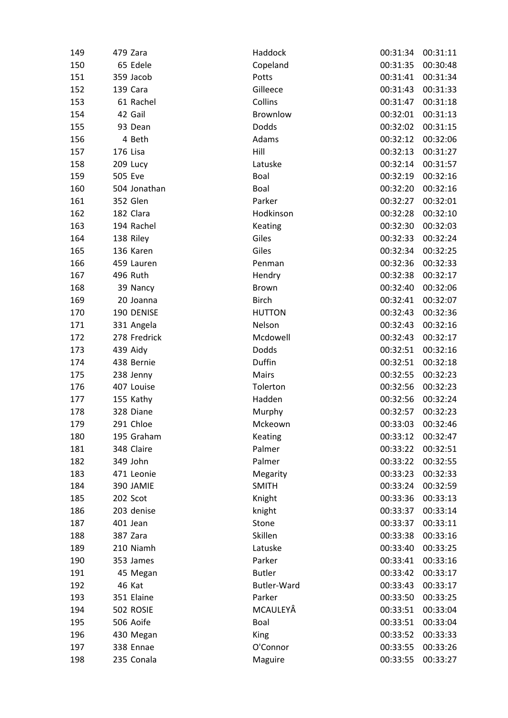| 149 | 479 Zara     | Haddock       | 00:31:34 | 00:31:11 |
|-----|--------------|---------------|----------|----------|
| 150 | 65 Edele     | Copeland      | 00:31:35 | 00:30:48 |
| 151 | 359 Jacob    | Potts         | 00:31:41 | 00:31:34 |
| 152 | 139 Cara     | Gilleece      | 00:31:43 | 00:31:33 |
| 153 | 61 Rachel    | Collins       | 00:31:47 | 00:31:18 |
| 154 | 42 Gail      | Brownlow      | 00:32:01 | 00:31:13 |
| 155 | 93 Dean      | Dodds         | 00:32:02 | 00:31:15 |
| 156 | 4 Beth       | Adams         | 00:32:12 | 00:32:06 |
| 157 | 176 Lisa     | Hill          | 00:32:13 | 00:31:27 |
| 158 | 209 Lucy     | Latuske       | 00:32:14 | 00:31:57 |
| 159 | 505 Eve      | Boal          | 00:32:19 | 00:32:16 |
| 160 | 504 Jonathan | Boal          | 00:32:20 | 00:32:16 |
| 161 | 352 Glen     | Parker        | 00:32:27 | 00:32:01 |
| 162 | 182 Clara    | Hodkinson     | 00:32:28 | 00:32:10 |
| 163 | 194 Rachel   | Keating       | 00:32:30 | 00:32:03 |
| 164 | 138 Riley    | Giles         | 00:32:33 | 00:32:24 |
| 165 | 136 Karen    | Giles         | 00:32:34 | 00:32:25 |
| 166 | 459 Lauren   | Penman        | 00:32:36 | 00:32:33 |
| 167 | 496 Ruth     | Hendry        | 00:32:38 | 00:32:17 |
| 168 | 39 Nancy     | Brown         | 00:32:40 | 00:32:06 |
| 169 | 20 Joanna    | <b>Birch</b>  | 00:32:41 | 00:32:07 |
| 170 | 190 DENISE   | <b>HUTTON</b> | 00:32:43 | 00:32:36 |
| 171 | 331 Angela   | Nelson        | 00:32:43 | 00:32:16 |
| 172 | 278 Fredrick | Mcdowell      | 00:32:43 | 00:32:17 |
| 173 | 439 Aidy     | Dodds         | 00:32:51 | 00:32:16 |
| 174 | 438 Bernie   | Duffin        | 00:32:51 | 00:32:18 |
| 175 | 238 Jenny    | Mairs         | 00:32:55 | 00:32:23 |
| 176 | 407 Louise   | Tolerton      | 00:32:56 | 00:32:23 |
| 177 | 155 Kathy    | Hadden        | 00:32:56 | 00:32:24 |
| 178 | 328 Diane    | Murphy        | 00:32:57 | 00:32:23 |
| 179 | 291 Chloe    | Mckeown       | 00:33:03 | 00:32:46 |
| 180 | 195 Graham   | Keating       | 00:33:12 | 00:32:47 |
| 181 | 348 Claire   | Palmer        | 00:33:22 | 00:32:51 |
| 182 | 349 John     | Palmer        | 00:33:22 | 00:32:55 |
| 183 | 471 Leonie   | Megarity      | 00:33:23 | 00:32:33 |
| 184 | 390 JAMIE    | <b>SMITH</b>  | 00:33:24 | 00:32:59 |
| 185 | 202 Scot     | Knight        | 00:33:36 | 00:33:13 |
| 186 | 203 denise   | knight        | 00:33:37 | 00:33:14 |
| 187 | 401 Jean     | Stone         | 00:33:37 | 00:33:11 |
| 188 | 387 Zara     | Skillen       | 00:33:38 | 00:33:16 |
| 189 | 210 Niamh    | Latuske       | 00:33:40 | 00:33:25 |
| 190 | 353 James    | Parker        | 00:33:41 | 00:33:16 |
| 191 | 45 Megan     | <b>Butler</b> | 00:33:42 | 00:33:17 |
| 192 | 46 Kat       | Butler-Ward   | 00:33:43 | 00:33:17 |
| 193 | 351 Elaine   | Parker        | 00:33:50 | 00:33:25 |
| 194 | 502 ROSIE    | MCAULEYÂ      | 00:33:51 | 00:33:04 |
| 195 | 506 Aoife    | Boal          | 00:33:51 | 00:33:04 |
| 196 | 430 Megan    | King          | 00:33:52 | 00:33:33 |
| 197 | 338 Ennae    | O'Connor      | 00:33:55 | 00:33:26 |
| 198 | 235 Conala   | Maguire       | 00:33:55 | 00:33:27 |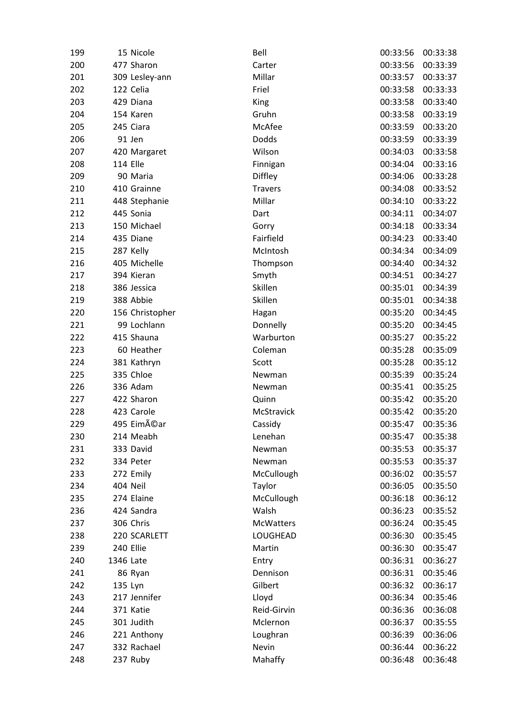| 199 | 15 Nicole       | Bell              | 00:33:56 | 00:33:38 |
|-----|-----------------|-------------------|----------|----------|
| 200 | 477 Sharon      | Carter            | 00:33:56 | 00:33:39 |
| 201 | 309 Lesley-ann  | Millar            | 00:33:57 | 00:33:37 |
| 202 | 122 Celia       | Friel             | 00:33:58 | 00:33:33 |
| 203 | 429 Diana       | King              | 00:33:58 | 00:33:40 |
| 204 | 154 Karen       | Gruhn             | 00:33:58 | 00:33:19 |
| 205 | 245 Ciara       | McAfee            | 00:33:59 | 00:33:20 |
| 206 | 91 Jen          | Dodds             | 00:33:59 | 00:33:39 |
| 207 | 420 Margaret    | Wilson            | 00:34:03 | 00:33:58 |
| 208 | <b>114 Elle</b> | Finnigan          | 00:34:04 | 00:33:16 |
| 209 | 90 Maria        | Diffley           | 00:34:06 | 00:33:28 |
| 210 | 410 Grainne     | <b>Travers</b>    | 00:34:08 | 00:33:52 |
| 211 | 448 Stephanie   | Millar            | 00:34:10 | 00:33:22 |
| 212 | 445 Sonia       | Dart              | 00:34:11 | 00:34:07 |
| 213 | 150 Michael     | Gorry             | 00:34:18 | 00:33:34 |
| 214 | 435 Diane       | Fairfield         | 00:34:23 | 00:33:40 |
| 215 | 287 Kelly       | McIntosh          | 00:34:34 | 00:34:09 |
| 216 | 405 Michelle    | Thompson          | 00:34:40 | 00:34:32 |
| 217 | 394 Kieran      | Smyth             | 00:34:51 | 00:34:27 |
| 218 | 386 Jessica     | Skillen           | 00:35:01 | 00:34:39 |
| 219 | 388 Abbie       | Skillen           | 00:35:01 | 00:34:38 |
| 220 | 156 Christopher | Hagan             | 00:35:20 | 00:34:45 |
| 221 | 99 Lochlann     | Donnelly          | 00:35:20 | 00:34:45 |
| 222 | 415 Shauna      | Warburton         | 00:35:27 | 00:35:22 |
| 223 | 60 Heather      | Coleman           | 00:35:28 | 00:35:09 |
| 224 | 381 Kathryn     | Scott             | 00:35:28 | 00:35:12 |
| 225 | 335 Chloe       | Newman            | 00:35:39 | 00:35:24 |
| 226 | 336 Adam        | Newman            | 00:35:41 | 00:35:25 |
| 227 | 422 Sharon      | Quinn             | 00:35:42 | 00:35:20 |
| 228 | 423 Carole      | McStravick        | 00:35:42 | 00:35:20 |
| 229 | 495 Eiméar      | Cassidy           | 00:35:47 | 00:35:36 |
| 230 | 214 Meabh       | Lenehan           | 00:35:47 | 00:35:38 |
| 231 | 333 David       | Newman            | 00:35:53 | 00:35:37 |
| 232 | 334 Peter       | Newman            | 00:35:53 | 00:35:37 |
| 233 | 272 Emily       | McCullough        | 00:36:02 | 00:35:57 |
| 234 | 404 Neil        | Taylor            | 00:36:05 | 00:35:50 |
| 235 | 274 Elaine      | McCullough        | 00:36:18 | 00:36:12 |
| 236 | 424 Sandra      | Walsh             | 00:36:23 | 00:35:52 |
| 237 | 306 Chris       | <b>McWatters</b>  | 00:36:24 | 00:35:45 |
| 238 | 220 SCARLETT    | LOUGHEAD          | 00:36:30 | 00:35:45 |
| 239 | 240 Ellie       | Martin            | 00:36:30 | 00:35:47 |
|     |                 |                   | 00:36:31 |          |
| 240 | 1346 Late       | Entry<br>Dennison |          | 00:36:27 |
| 241 | 86 Ryan         | Gilbert           | 00:36:31 | 00:35:46 |
| 242 | 135 Lyn         |                   | 00:36:32 | 00:36:17 |
| 243 | 217 Jennifer    | Lloyd             | 00:36:34 | 00:35:46 |
| 244 | 371 Katie       | Reid-Girvin       | 00:36:36 | 00:36:08 |
| 245 | 301 Judith      | Mclernon          | 00:36:37 | 00:35:55 |
| 246 | 221 Anthony     | Loughran          | 00:36:39 | 00:36:06 |
| 247 | 332 Rachael     | Nevin             | 00:36:44 | 00:36:22 |
| 248 | 237 Ruby        | Mahaffy           | 00:36:48 | 00:36:48 |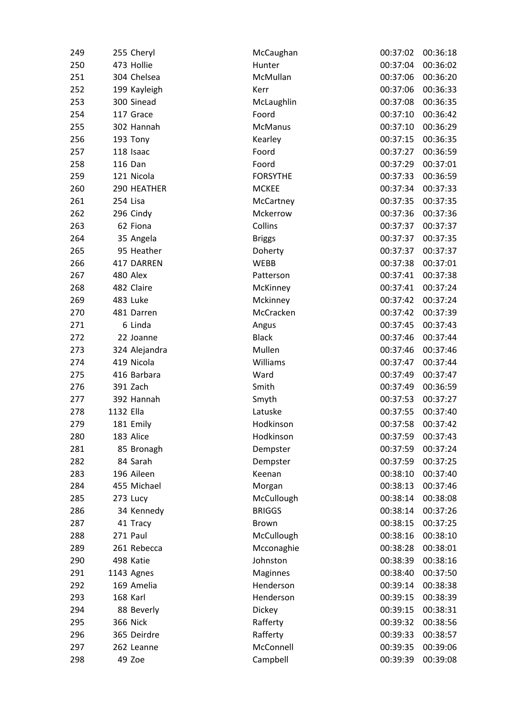| 249 |           | 255 Cheryl      | McCaughan       | 00:37:02 | 00:36:18 |
|-----|-----------|-----------------|-----------------|----------|----------|
| 250 |           | 473 Hollie      | Hunter          | 00:37:04 | 00:36:02 |
| 251 |           | 304 Chelsea     | McMullan        | 00:37:06 | 00:36:20 |
| 252 |           | 199 Kayleigh    | Kerr            | 00:37:06 | 00:36:33 |
| 253 |           | 300 Sinead      | McLaughlin      | 00:37:08 | 00:36:35 |
| 254 |           | 117 Grace       | Foord           | 00:37:10 | 00:36:42 |
| 255 |           | 302 Hannah      | <b>McManus</b>  | 00:37:10 | 00:36:29 |
| 256 |           | 193 Tony        | Kearley         | 00:37:15 | 00:36:35 |
| 257 |           | 118 Isaac       | Foord           | 00:37:27 | 00:36:59 |
| 258 |           | 116 Dan         | Foord           | 00:37:29 | 00:37:01 |
| 259 |           | 121 Nicola      | <b>FORSYTHE</b> | 00:37:33 | 00:36:59 |
| 260 |           | 290 HEATHER     | <b>MCKEE</b>    | 00:37:34 | 00:37:33 |
| 261 | 254 Lisa  |                 | McCartney       | 00:37:35 | 00:37:35 |
| 262 |           | 296 Cindy       | Mckerrow        | 00:37:36 | 00:37:36 |
| 263 |           | 62 Fiona        | Collins         | 00:37:37 | 00:37:37 |
| 264 |           | 35 Angela       | <b>Briggs</b>   | 00:37:37 | 00:37:35 |
| 265 |           | 95 Heather      | Doherty         | 00:37:37 | 00:37:37 |
| 266 |           | 417 DARREN      | <b>WEBB</b>     | 00:37:38 | 00:37:01 |
| 267 |           | 480 Alex        | Patterson       | 00:37:41 | 00:37:38 |
| 268 |           | 482 Claire      | McKinney        | 00:37:41 | 00:37:24 |
| 269 |           | 483 Luke        | Mckinney        | 00:37:42 | 00:37:24 |
| 270 |           | 481 Darren      | McCracken       | 00:37:42 | 00:37:39 |
| 271 |           | 6 Linda         | Angus           | 00:37:45 | 00:37:43 |
| 272 |           | 22 Joanne       | <b>Black</b>    | 00:37:46 | 00:37:44 |
| 273 |           | 324 Alejandra   | Mullen          | 00:37:46 | 00:37:46 |
| 274 |           | 419 Nicola      | Williams        | 00:37:47 | 00:37:44 |
| 275 |           | 416 Barbara     | Ward            | 00:37:49 | 00:37:47 |
| 276 |           | 391 Zach        | Smith           | 00:37:49 | 00:36:59 |
| 277 |           | 392 Hannah      | Smyth           | 00:37:53 | 00:37:27 |
| 278 | 1132 Ella |                 | Latuske         | 00:37:55 | 00:37:40 |
| 279 |           | 181 Emily       | Hodkinson       | 00:37:58 | 00:37:42 |
| 280 |           | 183 Alice       | Hodkinson       | 00:37:59 | 00:37:43 |
| 281 |           | 85 Bronagh      | Dempster        | 00:37:59 | 00:37:24 |
| 282 |           | 84 Sarah        | Dempster        | 00:37:59 | 00:37:25 |
| 283 |           | 196 Aileen      | Keenan          | 00:38:10 | 00:37:40 |
| 284 |           | 455 Michael     | Morgan          | 00:38:13 | 00:37:46 |
| 285 |           | 273 Lucy        | McCullough      | 00:38:14 | 00:38:08 |
| 286 |           | 34 Kennedy      | <b>BRIGGS</b>   | 00:38:14 | 00:37:26 |
| 287 |           | 41 Tracy        | <b>Brown</b>    | 00:38:15 | 00:37:25 |
| 288 |           | 271 Paul        | McCullough      | 00:38:16 | 00:38:10 |
| 289 |           | 261 Rebecca     | Mcconaghie      | 00:38:28 | 00:38:01 |
| 290 |           | 498 Katie       | Johnston        | 00:38:39 | 00:38:16 |
| 291 |           | 1143 Agnes      | Maginnes        | 00:38:40 | 00:37:50 |
| 292 |           | 169 Amelia      | Henderson       | 00:39:14 | 00:38:38 |
| 293 |           | 168 Karl        | Henderson       | 00:39:15 | 00:38:39 |
| 294 |           | 88 Beverly      | Dickey          | 00:39:15 | 00:38:31 |
| 295 |           | <b>366 Nick</b> | Rafferty        | 00:39:32 | 00:38:56 |
| 296 |           | 365 Deirdre     | Rafferty        | 00:39:33 | 00:38:57 |
| 297 |           | 262 Leanne      | McConnell       | 00:39:35 | 00:39:06 |
| 298 |           | 49 Zoe          | Campbell        | 00:39:39 | 00:39:08 |
|     |           |                 |                 |          |          |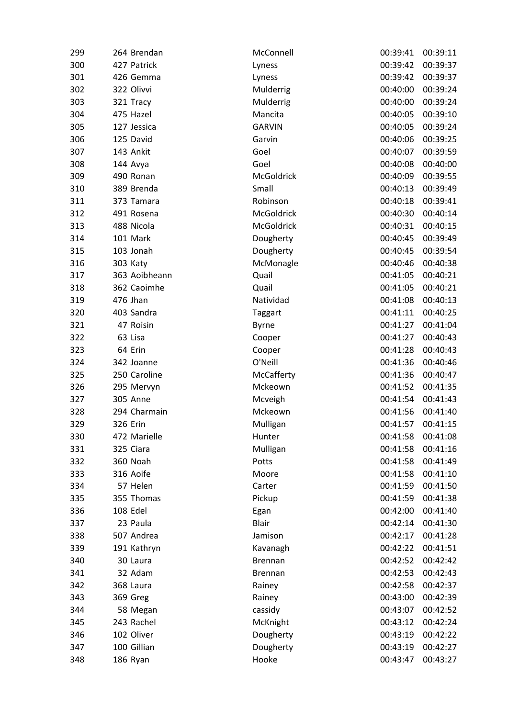| 299 | 264 Brendan     | McConnell      | 00:39:41 | 00:39:11 |
|-----|-----------------|----------------|----------|----------|
| 300 | 427 Patrick     | Lyness         | 00:39:42 | 00:39:37 |
| 301 | 426 Gemma       | Lyness         | 00:39:42 | 00:39:37 |
| 302 | 322 Olivvi      | Mulderrig      | 00:40:00 | 00:39:24 |
| 303 | 321 Tracy       | Mulderrig      | 00:40:00 | 00:39:24 |
| 304 | 475 Hazel       | Mancita        | 00:40:05 | 00:39:10 |
| 305 | 127 Jessica     | <b>GARVIN</b>  | 00:40:05 | 00:39:24 |
| 306 | 125 David       | Garvin         | 00:40:06 | 00:39:25 |
| 307 | 143 Ankit       | Goel           | 00:40:07 | 00:39:59 |
| 308 | 144 Avya        | Goel           | 00:40:08 | 00:40:00 |
| 309 | 490 Ronan       | McGoldrick     | 00:40:09 | 00:39:55 |
| 310 | 389 Brenda      | Small          | 00:40:13 | 00:39:49 |
| 311 | 373 Tamara      | Robinson       | 00:40:18 | 00:39:41 |
| 312 | 491 Rosena      | McGoldrick     | 00:40:30 | 00:40:14 |
| 313 | 488 Nicola      | McGoldrick     | 00:40:31 | 00:40:15 |
| 314 | 101 Mark        | Dougherty      | 00:40:45 | 00:39:49 |
| 315 | 103 Jonah       | Dougherty      | 00:40:45 | 00:39:54 |
| 316 | 303 Katy        | McMonagle      | 00:40:46 | 00:40:38 |
| 317 | 363 Aoibheann   | Quail          | 00:41:05 | 00:40:21 |
| 318 | 362 Caoimhe     | Quail          | 00:41:05 | 00:40:21 |
| 319 | 476 Jhan        | Natividad      | 00:41:08 | 00:40:13 |
| 320 | 403 Sandra      | Taggart        | 00:41:11 | 00:40:25 |
| 321 | 47 Roisin       | <b>Byrne</b>   | 00:41:27 | 00:41:04 |
| 322 | 63 Lisa         | Cooper         | 00:41:27 | 00:40:43 |
| 323 | 64 Erin         | Cooper         | 00:41:28 | 00:40:43 |
| 324 | 342 Joanne      | O'Neill        | 00:41:36 | 00:40:46 |
| 325 | 250 Caroline    | McCafferty     | 00:41:36 | 00:40:47 |
| 326 | 295 Mervyn      | Mckeown        | 00:41:52 | 00:41:35 |
| 327 | <b>305 Anne</b> | Mcveigh        | 00:41:54 | 00:41:43 |
| 328 | 294 Charmain    | Mckeown        | 00:41:56 | 00:41:40 |
| 329 | 326 Erin        | Mulligan       | 00:41:57 | 00:41:15 |
| 330 | 472 Marielle    | Hunter         | 00:41:58 | 00:41:08 |
| 331 | 325 Ciara       | Mulligan       | 00:41:58 | 00:41:16 |
| 332 | 360 Noah        | Potts          | 00:41:58 | 00:41:49 |
| 333 | 316 Aoife       | Moore          | 00:41:58 | 00:41:10 |
| 334 | 57 Helen        | Carter         | 00:41:59 | 00:41:50 |
| 335 | 355 Thomas      | Pickup         | 00:41:59 | 00:41:38 |
| 336 | 108 Edel        | Egan           | 00:42:00 | 00:41:40 |
| 337 | 23 Paula        | <b>Blair</b>   | 00:42:14 | 00:41:30 |
| 338 | 507 Andrea      | Jamison        | 00:42:17 | 00:41:28 |
| 339 | 191 Kathryn     | Kavanagh       | 00:42:22 | 00:41:51 |
| 340 | 30 Laura        | <b>Brennan</b> | 00:42:52 | 00:42:42 |
| 341 | 32 Adam         | <b>Brennan</b> | 00:42:53 | 00:42:43 |
| 342 | 368 Laura       | Rainey         | 00:42:58 | 00:42:37 |
| 343 | 369 Greg        | Rainey         | 00:43:00 | 00:42:39 |
| 344 | 58 Megan        | cassidy        | 00:43:07 | 00:42:52 |
| 345 | 243 Rachel      | McKnight       | 00:43:12 | 00:42:24 |
| 346 | 102 Oliver      | Dougherty      | 00:43:19 | 00:42:22 |
| 347 | 100 Gillian     | Dougherty      | 00:43:19 | 00:42:27 |
| 348 | 186 Ryan        | Hooke          | 00:43:47 | 00:43:27 |
|     |                 |                |          |          |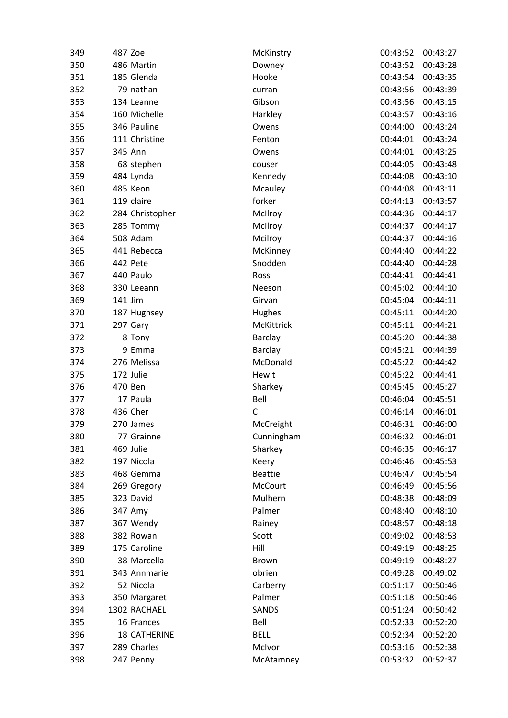| 349 | 487 Zoe             | McKinstry      | 00:43:52 | 00:43:27 |
|-----|---------------------|----------------|----------|----------|
| 350 | 486 Martin          | Downey         | 00:43:52 | 00:43:28 |
| 351 | 185 Glenda          | Hooke          | 00:43:54 | 00:43:35 |
| 352 | 79 nathan           | curran         | 00:43:56 | 00:43:39 |
| 353 | 134 Leanne          | Gibson         | 00:43:56 | 00:43:15 |
| 354 | 160 Michelle        | Harkley        | 00:43:57 | 00:43:16 |
| 355 | 346 Pauline         | Owens          | 00:44:00 | 00:43:24 |
| 356 | 111 Christine       | Fenton         | 00:44:01 | 00:43:24 |
| 357 | 345 Ann             | Owens          | 00:44:01 | 00:43:25 |
| 358 | 68 stephen          | couser         | 00:44:05 | 00:43:48 |
| 359 | 484 Lynda           | Kennedy        | 00:44:08 | 00:43:10 |
| 360 | 485 Keon            | Mcauley        | 00:44:08 | 00:43:11 |
| 361 | 119 claire          | forker         | 00:44:13 | 00:43:57 |
| 362 | 284 Christopher     | McIlroy        | 00:44:36 | 00:44:17 |
| 363 | 285 Tommy           | McIlroy        | 00:44:37 | 00:44:17 |
| 364 | 508 Adam            | Mcilroy        | 00:44:37 | 00:44:16 |
| 365 | 441 Rebecca         | McKinney       | 00:44:40 | 00:44:22 |
| 366 | 442 Pete            | Snodden        | 00:44:40 | 00:44:28 |
| 367 | 440 Paulo           | Ross           | 00:44:41 | 00:44:41 |
| 368 | 330 Leeann          | Neeson         | 00:45:02 | 00:44:10 |
| 369 | 141 Jim             | Girvan         | 00:45:04 | 00:44:11 |
| 370 | 187 Hughsey         | Hughes         | 00:45:11 | 00:44:20 |
| 371 | 297 Gary            | McKittrick     | 00:45:11 | 00:44:21 |
| 372 | 8 Tony              | Barclay        | 00:45:20 | 00:44:38 |
| 373 | 9 Emma              | Barclay        | 00:45:21 | 00:44:39 |
| 374 | 276 Melissa         | McDonald       | 00:45:22 | 00:44:42 |
| 375 | 172 Julie           | Hewit          | 00:45:22 | 00:44:41 |
| 376 | 470 Ben             | Sharkey        | 00:45:45 | 00:45:27 |
| 377 | 17 Paula            | Bell           | 00:46:04 | 00:45:51 |
| 378 | 436 Cher            | $\mathsf{C}$   | 00:46:14 | 00:46:01 |
| 379 | 270 James           | McCreight      | 00:46:31 | 00:46:00 |
| 380 | 77 Grainne          | Cunningham     | 00:46:32 | 00:46:01 |
| 381 | 469 Julie           | Sharkey        | 00:46:35 | 00:46:17 |
| 382 | 197 Nicola          | Keery          | 00:46:46 | 00:45:53 |
| 383 | 468 Gemma           | <b>Beattie</b> | 00:46:47 | 00:45:54 |
| 384 | 269 Gregory         | McCourt        | 00:46:49 | 00:45:56 |
| 385 | 323 David           | Mulhern        | 00:48:38 | 00:48:09 |
| 386 | 347 Amy             | Palmer         | 00:48:40 | 00:48:10 |
| 387 | 367 Wendy           | Rainey         | 00:48:57 | 00:48:18 |
| 388 | 382 Rowan           | Scott          | 00:49:02 | 00:48:53 |
| 389 | 175 Caroline        | Hill           | 00:49:19 | 00:48:25 |
| 390 | 38 Marcella         | Brown          | 00:49:19 | 00:48:27 |
| 391 | 343 Annmarie        | obrien         | 00:49:28 | 00:49:02 |
| 392 | 52 Nicola           | Carberry       | 00:51:17 | 00:50:46 |
| 393 | 350 Margaret        | Palmer         | 00:51:18 | 00:50:46 |
| 394 | 1302 RACHAEL        | SANDS          | 00:51:24 | 00:50:42 |
| 395 | 16 Frances          | Bell           | 00:52:33 | 00:52:20 |
| 396 | <b>18 CATHERINE</b> | <b>BELL</b>    | 00:52:34 | 00:52:20 |
| 397 | 289 Charles         | McIvor         | 00:53:16 | 00:52:38 |
|     |                     |                | 00:53:32 | 00:52:37 |